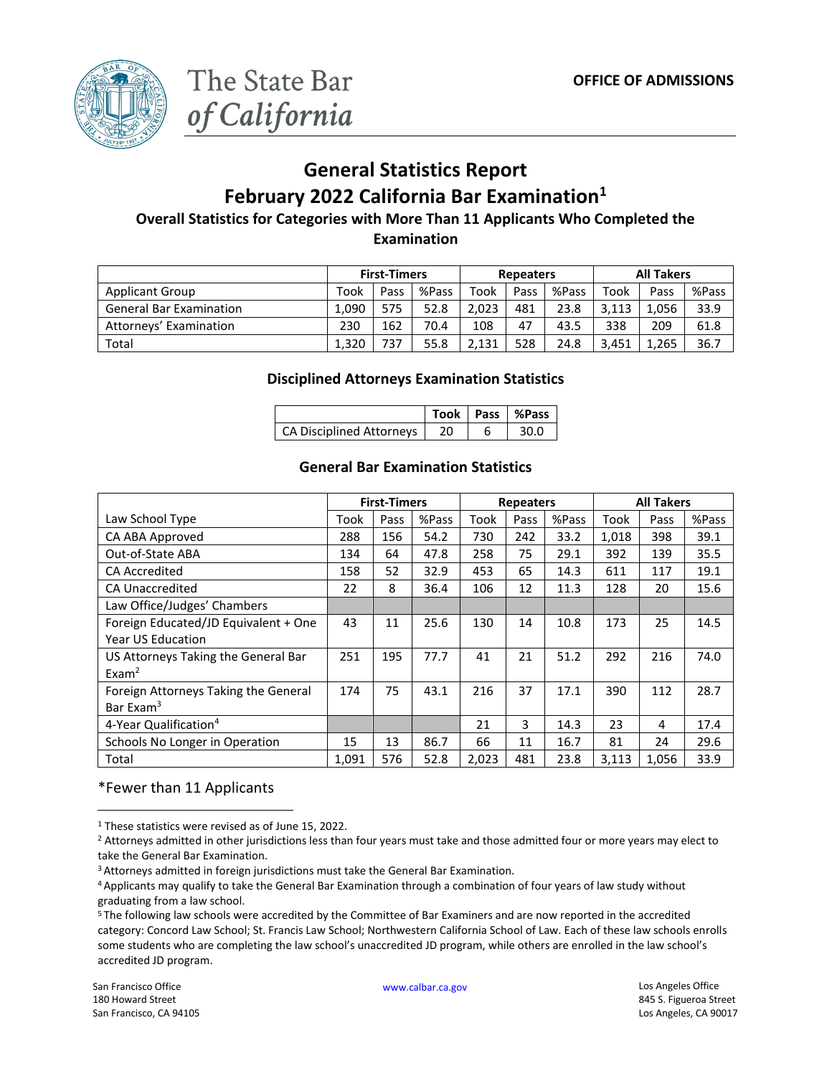



## **General Statistics Report February 2022 California Bar Examination<sup>1</sup>**

# **Overall Statistics for Categories with More Than 11 Applicants Who Completed the**

**Examination** 

|                                | <b>First-Timers</b> |      |       |       | <b>Repeaters</b> |       | <b>All Takers</b> |       |       |  |
|--------------------------------|---------------------|------|-------|-------|------------------|-------|-------------------|-------|-------|--|
| <b>Applicant Group</b>         | Took                | Pass | %Pass | Took  | Pass             | %Pass | Took              | Pass  | %Pass |  |
| <b>General Bar Examination</b> | 1.090               | 575  | 52.8  | 2.023 | 481              | 23.8  | 3.113             | 1.056 | 33.9  |  |
| Attorneys' Examination         | 230                 | 162  | 70.4  | 108   | 47               | 43.5  | 338               | 209   | 61.8  |  |
| Total                          | 1.320               | 737  | 55.8  | 2.131 | 528              | 24.8  | 3.451             | 1.265 | 36.7  |  |

#### **Disciplined Attorneys Examination Statistics**

|                          |  | Took   Pass   %Pass |
|--------------------------|--|---------------------|
| CA Disciplined Attorneys |  |                     |

#### **General Bar Examination Statistics**

|                                      | <b>First-Timers</b> |      |       | <b>Repeaters</b> |      |       | <b>All Takers</b> |       |       |
|--------------------------------------|---------------------|------|-------|------------------|------|-------|-------------------|-------|-------|
| Law School Type                      | Took                | Pass | %Pass | Took             | Pass | %Pass | Took              | Pass  | %Pass |
| CA ABA Approved                      | 288                 | 156  | 54.2  | 730              | 242  | 33.2  | 1,018             | 398   | 39.1  |
| Out-of-State ABA                     | 134                 | 64   | 47.8  | 258              | 75   | 29.1  | 392               | 139   | 35.5  |
| <b>CA Accredited</b>                 | 158                 | 52   | 32.9  | 453              | 65   | 14.3  | 611               | 117   | 19.1  |
| CA Unaccredited                      | 22                  | 8    | 36.4  | 106              | 12   | 11.3  | 128               | 20    | 15.6  |
| Law Office/Judges' Chambers          |                     |      |       |                  |      |       |                   |       |       |
| Foreign Educated/JD Equivalent + One | 43                  | 11   | 25.6  | 130              | 14   | 10.8  | 173               | 25    | 14.5  |
| <b>Year US Education</b>             |                     |      |       |                  |      |       |                   |       |       |
| US Attorneys Taking the General Bar  | 251                 | 195  | 77.7  | 41               | 21   | 51.2  | 292               | 216   | 74.0  |
| Exam <sup>2</sup>                    |                     |      |       |                  |      |       |                   |       |       |
| Foreign Attorneys Taking the General | 174                 | 75   | 43.1  | 216              | 37   | 17.1  | 390               | 112   | 28.7  |
| Bar Exam <sup>3</sup>                |                     |      |       |                  |      |       |                   |       |       |
| 4-Year Qualification <sup>4</sup>    |                     |      |       | 21               | 3    | 14.3  | 23                | 4     | 17.4  |
| Schools No Longer in Operation       | 15                  | 13   | 86.7  | 66               | 11   | 16.7  | 81                | 24    | 29.6  |
| Total                                | 1,091               | 576  | 52.8  | 2,023            | 481  | 23.8  | 3,113             | 1,056 | 33.9  |

#### \*Fewer than 11 Applicants

San Francisco Office **With a Contract Contract Contract Contract Contract Contract Contract Contract Contract Contract Contract Contract Contract Contract Contract Contract Contract Contract Contract Contract Contract Cont** 180 Howard Street San Francisco, CA 94105

Los Angeles Office 845 S. Figueroa Street Los Angeles, CA 90017

<sup>1</sup> These statistics were revised as of June 15, 2022.

<sup>2</sup> Attorneys admitted in other jurisdictions less than four years must take and those admitted four or more years may elect to take the General Bar Examination.

<sup>&</sup>lt;sup>3</sup> Attorneys admitted in foreign jurisdictions must take the General Bar Examination.

<sup>4</sup>Applicants may qualify to take the General Bar Examination through a combination of four years of law study without graduating from a law school.

<sup>5</sup>The following law schools were accredited by the Committee of Bar Examiners and are now reported in the accredited category: Concord Law School; St. Francis Law School; Northwestern California School of Law. Each of these law schools enrolls some students who are completing the law school's unaccredited JD program, while others are enrolled in the law school's accredited JD program.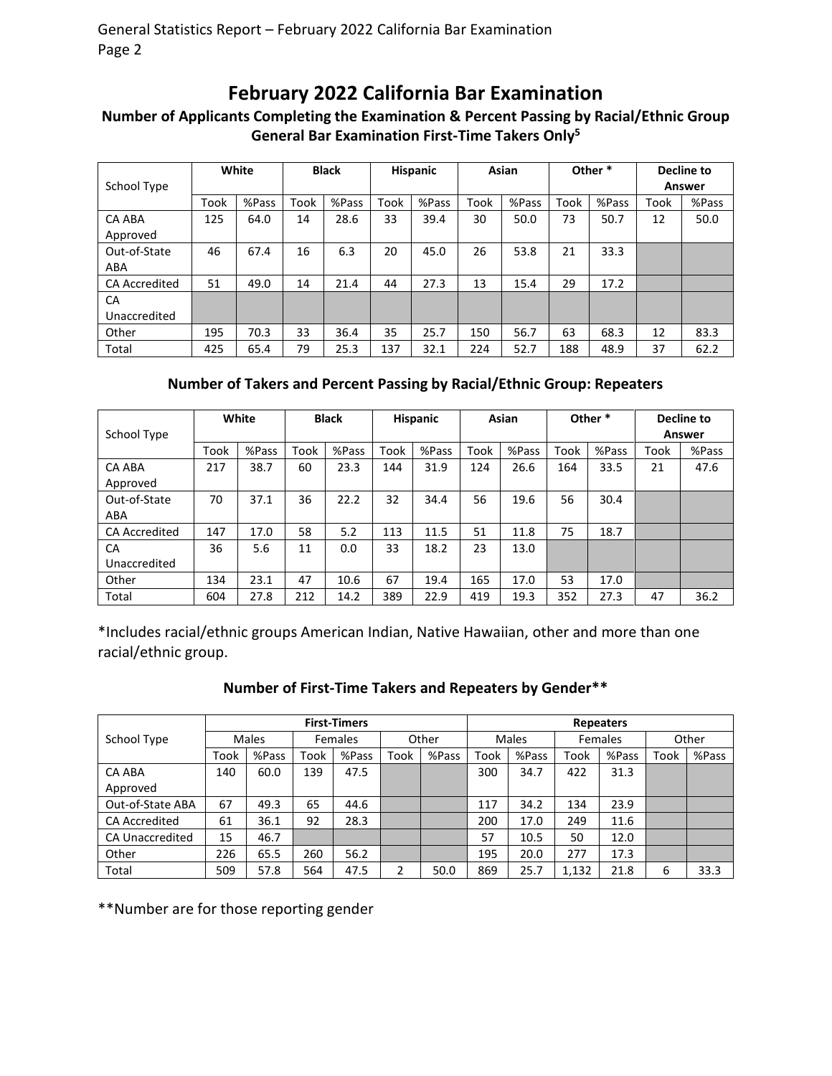General Statistics Report – February 2022 California Bar Examination Page 2

## **February 2022 California Bar Examination**

| Number of Applicants Completing the Examination & Percent Passing by Racial/Ethnic Group |
|------------------------------------------------------------------------------------------|
| <b>General Bar Examination First-Time Takers Only<sup>5</sup></b>                        |

|                      | White |       |      | <b>Black</b> |      | Hispanic |      | Asian |      | Other* | Decline to |        |
|----------------------|-------|-------|------|--------------|------|----------|------|-------|------|--------|------------|--------|
| School Type          |       |       |      |              |      |          |      |       |      |        |            | Answer |
|                      | Took  | %Pass | Took | %Pass        | Took | %Pass    | Took | %Pass | Took | %Pass  | Took       | %Pass  |
| CA ABA               | 125   | 64.0  | 14   | 28.6         | 33   | 39.4     | 30   | 50.0  | 73   | 50.7   | 12         | 50.0   |
| Approved             |       |       |      |              |      |          |      |       |      |        |            |        |
| Out-of-State         | 46    | 67.4  | 16   | 6.3          | 20   | 45.0     | 26   | 53.8  | 21   | 33.3   |            |        |
| ABA                  |       |       |      |              |      |          |      |       |      |        |            |        |
| <b>CA Accredited</b> | 51    | 49.0  | 14   | 21.4         | 44   | 27.3     | 13   | 15.4  | 29   | 17.2   |            |        |
| <b>CA</b>            |       |       |      |              |      |          |      |       |      |        |            |        |
| Unaccredited         |       |       |      |              |      |          |      |       |      |        |            |        |
| Other                | 195   | 70.3  | 33   | 36.4         | 35   | 25.7     | 150  | 56.7  | 63   | 68.3   | 12         | 83.3   |
| Total                | 425   | 65.4  | 79   | 25.3         | 137  | 32.1     | 224  | 52.7  | 188  | 48.9   | 37         | 62.2   |

#### **Number of Takers and Percent Passing by Racial/Ethnic Group: Repeaters**

|                      | White |       | <b>Black</b> |       |      | Hispanic | Asian |       |      | Other* | Decline to |        |
|----------------------|-------|-------|--------------|-------|------|----------|-------|-------|------|--------|------------|--------|
| School Type          |       |       |              |       |      |          |       |       |      |        |            | Answer |
|                      | Took  | %Pass | Took         | %Pass | Took | %Pass    | Took  | %Pass | Took | %Pass  | Took       | %Pass  |
| CA ABA               | 217   | 38.7  | 60           | 23.3  | 144  | 31.9     | 124   | 26.6  | 164  | 33.5   | 21         | 47.6   |
| Approved             |       |       |              |       |      |          |       |       |      |        |            |        |
| Out-of-State         | 70    | 37.1  | 36           | 22.2  | 32   | 34.4     | 56    | 19.6  | 56   | 30.4   |            |        |
| ABA                  |       |       |              |       |      |          |       |       |      |        |            |        |
| <b>CA Accredited</b> | 147   | 17.0  | 58           | 5.2   | 113  | 11.5     | 51    | 11.8  | 75   | 18.7   |            |        |
| CA                   | 36    | 5.6   | 11           | 0.0   | 33   | 18.2     | 23    | 13.0  |      |        |            |        |
| Unaccredited         |       |       |              |       |      |          |       |       |      |        |            |        |
| Other                | 134   | 23.1  | 47           | 10.6  | 67   | 19.4     | 165   | 17.0  | 53   | 17.0   |            |        |
| Total                | 604   | 27.8  | 212          | 14.2  | 389  | 22.9     | 419   | 19.3  | 352  | 27.3   | 47         | 36.2   |

\*Includes racial/ethnic groups American Indian, Native Hawaiian, other and more than one racial/ethnic group.

#### **Number of First-Time Takers and Repeaters by Gender\*\***

|                        | <b>First-Timers</b> |              |      |         |      |       | <b>Repeaters</b> |              |       |         |      |       |  |
|------------------------|---------------------|--------------|------|---------|------|-------|------------------|--------------|-------|---------|------|-------|--|
| School Type            |                     | <b>Males</b> |      | Females |      | Other |                  | <b>Males</b> |       | Females |      | Other |  |
|                        | Took                | %Pass        | Took | %Pass   | Took | %Pass | Took             | %Pass        | Took  | %Pass   | Took | %Pass |  |
| CA ABA                 | 140                 | 60.0         | 139  | 47.5    |      |       | 300              | 34.7         | 422   | 31.3    |      |       |  |
| Approved               |                     |              |      |         |      |       |                  |              |       |         |      |       |  |
| Out-of-State ABA       | 67                  | 49.3         | 65   | 44.6    |      |       | 117              | 34.2         | 134   | 23.9    |      |       |  |
| <b>CA Accredited</b>   | 61                  | 36.1         | 92   | 28.3    |      |       | 200              | 17.0         | 249   | 11.6    |      |       |  |
| <b>CA Unaccredited</b> | 15                  | 46.7         |      |         |      |       | 57               | 10.5         | 50    | 12.0    |      |       |  |
| Other                  | 226                 | 65.5         | 260  | 56.2    |      |       | 195              | 20.0         | 277   | 17.3    |      |       |  |
| Total                  | 509                 | 57.8         | 564  | 47.5    | 2    | 50.0  | 869              | 25.7         | 1,132 | 21.8    | 6    | 33.3  |  |

\*\*Number are for those reporting gender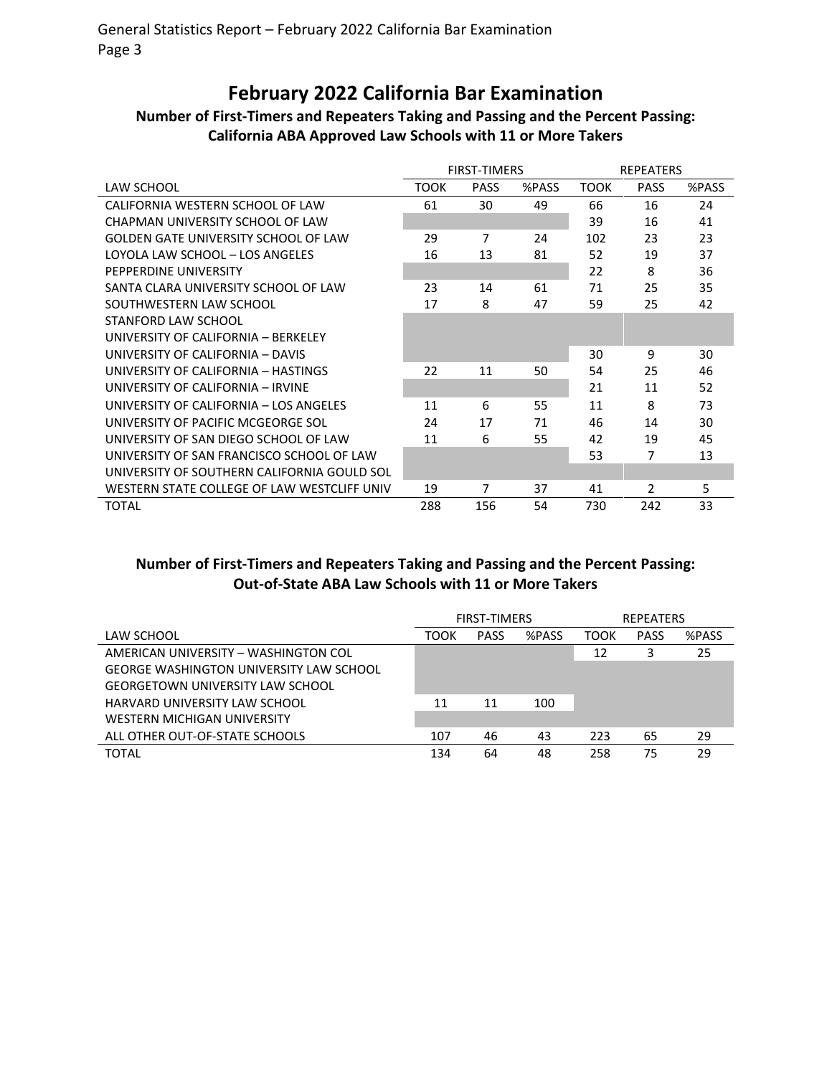## **February 2022 California Bar Examination**

### **Number of First-Timers and Repeaters Taking and Passing and the Percent Passing: California ABA Approved Law Schools with 11 or More Takers**

|                                             |      | <b>FIRST-TIMERS</b> |       |      | <b>REPEATERS</b> |       |  |
|---------------------------------------------|------|---------------------|-------|------|------------------|-------|--|
| LAW SCHOOL                                  | тоок | <b>PASS</b>         | %PASS | тоок | <b>PASS</b>      | %PASS |  |
| CALIFORNIA WESTERN SCHOOL OF LAW            | 61   | 30                  | 49    | 66   | 16               | 24    |  |
| CHAPMAN UNIVERSITY SCHOOL OF LAW            |      |                     |       | 39   | 16               | 41    |  |
| <b>GOLDEN GATE UNIVERSITY SCHOOL OF LAW</b> | 29   | 7                   | 24    | 102  | 23               | 23    |  |
| LOYOLA LAW SCHOOL - LOS ANGELES             | 16   | 13                  | 81    | 52   | 19               | 37    |  |
| PEPPERDINE UNIVERSITY                       |      |                     |       | 22   | 8                | 36    |  |
| SANTA CLARA UNIVERSITY SCHOOL OF LAW        | 23   | 14                  | 61    | 71   | 25               | 35    |  |
| SOUTHWESTERN LAW SCHOOL                     | 17   | 8                   | 47    | 59   | 25               | 42    |  |
| STANFORD LAW SCHOOL                         |      |                     |       |      |                  |       |  |
| UNIVERSITY OF CALIFORNIA - BERKELEY         |      |                     |       |      |                  |       |  |
| UNIVERSITY OF CALIFORNIA - DAVIS            |      |                     |       | 30   | 9                | 30    |  |
| UNIVERSITY OF CALIFORNIA - HASTINGS         | 22   | 11                  | 50    | 54   | 25               | 46    |  |
| UNIVERSITY OF CALIFORNIA - IRVINE           |      |                     |       | 21   | 11               | 52    |  |
| UNIVERSITY OF CALIFORNIA - LOS ANGELES      | 11   | 6                   | 55    | 11   | 8                | 73    |  |
| UNIVERSITY OF PACIFIC MCGEORGE SOL          | 24   | 17                  | 71    | 46   | 14               | 30    |  |
| UNIVERSITY OF SAN DIFGO SCHOOL OF LAW       | 11   | 6                   | 55    | 42   | 19               | 45    |  |
| UNIVERSITY OF SAN FRANCISCO SCHOOL OF LAW   |      |                     |       | 53   | 7                | 13    |  |
| UNIVERSITY OF SOUTHERN CALIFORNIA GOULD SOL |      |                     |       |      |                  |       |  |
| WESTERN STATE COLLEGE OF LAW WESTCLIFF UNIV | 19   | 7                   | 37    | 41   | $\mathcal{P}$    | 5     |  |
| <b>TOTAL</b>                                | 288  | 156                 | 54    | 730  | 242              | 33    |  |

### **Number of First-Timers and Repeaters Taking and Passing and the Percent Passing: Out-of-State ABA Law Schools with 11 or More Takers**

|                                                |      | <b>FIRST-TIMERS</b> |       | <b>REPEATERS</b> |             |       |  |
|------------------------------------------------|------|---------------------|-------|------------------|-------------|-------|--|
| LAW SCHOOL                                     | тоок | <b>PASS</b>         | %PASS | <b>TOOK</b>      | <b>PASS</b> | %PASS |  |
| AMERICAN UNIVERSITY - WASHINGTON COL           |      |                     |       | 12               |             | 25    |  |
| <b>GEORGE WASHINGTON UNIVERSITY LAW SCHOOL</b> |      |                     |       |                  |             |       |  |
| <b>GEORGETOWN UNIVERSITY LAW SCHOOL</b>        |      |                     |       |                  |             |       |  |
| HARVARD UNIVERSITY LAW SCHOOL                  | 11   | 11                  | 100   |                  |             |       |  |
| WESTERN MICHIGAN UNIVERSITY                    |      |                     |       |                  |             |       |  |
| ALL OTHER OUT-OF-STATE SCHOOLS                 | 107  | 46                  | 43    | 223              | 65          | 29    |  |
| TOTAL                                          | 134  | 64                  | 48    | 258              | 75          | 29    |  |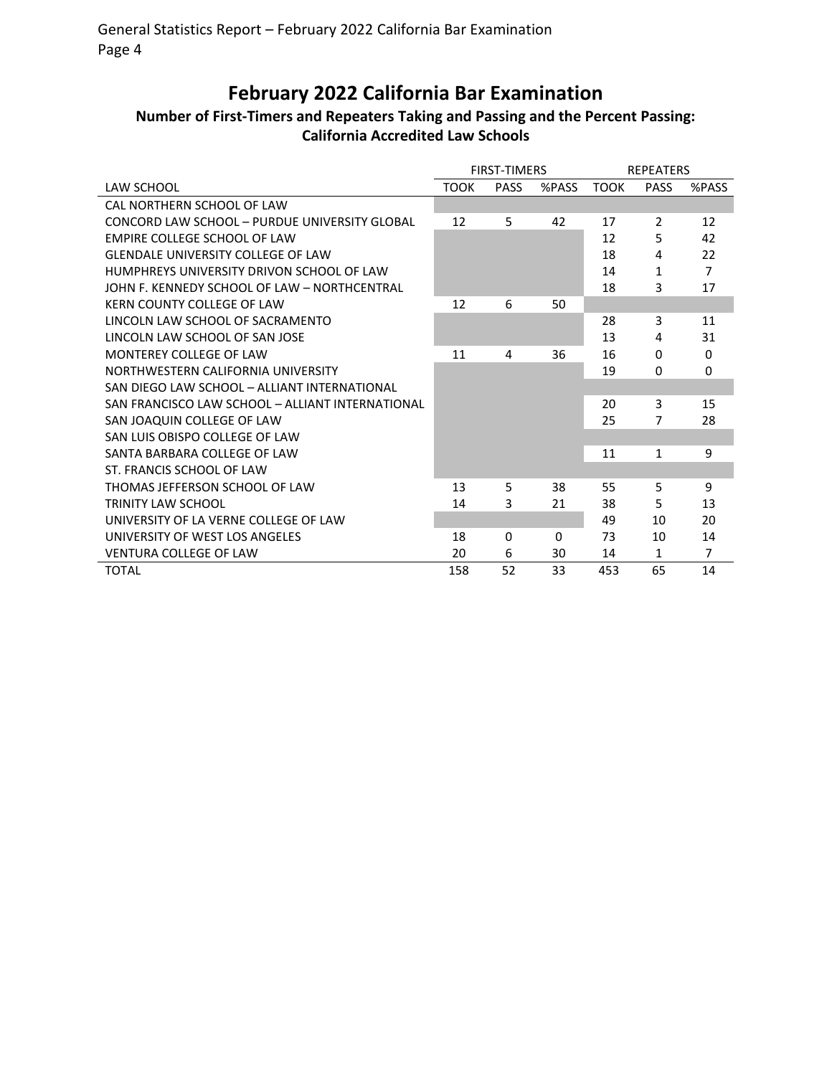## **February 2022 California Bar Examination**

## **Number of First-Timers and Repeaters Taking and Passing and the Percent Passing: California Accredited Law Schools**

|                                                  | <b>FIRST-TIMERS</b> |             | <b>REPEATERS</b> |             |                |                |
|--------------------------------------------------|---------------------|-------------|------------------|-------------|----------------|----------------|
| LAW SCHOOL                                       | <b>TOOK</b>         | <b>PASS</b> | %PASS            | <b>TOOK</b> | <b>PASS</b>    | %PASS          |
| CAL NORTHERN SCHOOL OF LAW                       |                     |             |                  |             |                |                |
| CONCORD LAW SCHOOL - PURDUE UNIVERSITY GLOBAL    | 12                  | 5           | 42               | 17          | $\mathcal{P}$  | 12             |
| EMPIRE COLLEGE SCHOOL OF LAW                     |                     |             |                  | 12          | 5              | 42             |
| <b>GLENDALE UNIVERSITY COLLEGE OF LAW</b>        |                     |             |                  | 18          | 4              | 22             |
| HUMPHREYS UNIVERSITY DRIVON SCHOOL OF LAW        |                     |             |                  | 14          | 1              | $\overline{7}$ |
| JOHN F. KENNEDY SCHOOL OF LAW - NORTHCENTRAL     |                     |             |                  | 18          | 3              | 17             |
| KERN COUNTY COLLEGE OF LAW                       | 12                  | 6           | 50               |             |                |                |
| LINCOLN LAW SCHOOL OF SACRAMENTO                 |                     |             |                  | 28          | 3              | 11             |
| LINCOLN LAW SCHOOL OF SAN JOSE                   |                     |             |                  | 13          | 4              | 31             |
| MONTEREY COLLEGE OF LAW                          | 11                  | 4           | 36               | 16          | 0              | 0              |
| NORTHWESTERN CALIFORNIA UNIVERSITY               |                     |             |                  | 19          | 0              | 0              |
| SAN DIEGO LAW SCHOOL - ALLIANT INTERNATIONAL     |                     |             |                  |             |                |                |
| SAN FRANCISCO LAW SCHOOL - ALLIANT INTERNATIONAL |                     |             |                  | 20          | 3              | 15             |
| SAN JOAQUIN COLLEGE OF LAW                       |                     |             |                  | 25          | $\overline{7}$ | 28             |
| SAN LUIS OBISPO COLLEGE OF LAW                   |                     |             |                  |             |                |                |
| SANTA BARBARA COLLEGE OF LAW                     |                     |             |                  | 11          | $\mathbf{1}$   | 9              |
| ST. FRANCIS SCHOOL OF LAW                        |                     |             |                  |             |                |                |
| THOMAS JEFFERSON SCHOOL OF LAW                   | 13                  | 5           | 38               | 55          | 5              | 9              |
| <b>TRINITY LAW SCHOOL</b>                        | 14                  | 3           | 21               | 38          | 5              | 13             |
| UNIVERSITY OF LA VERNE COLLEGE OF LAW            |                     |             |                  | 49          | 10             | 20             |
| UNIVERSITY OF WEST LOS ANGELES                   | 18                  | 0           | 0                | 73          | 10             | 14             |
| <b>VENTURA COLLEGE OF LAW</b>                    | 20                  | 6           | 30               | 14          | $\mathbf{1}$   | $\overline{7}$ |
| <b>TOTAL</b>                                     | 158                 | 52          | 33               | 453         | 65             | 14             |